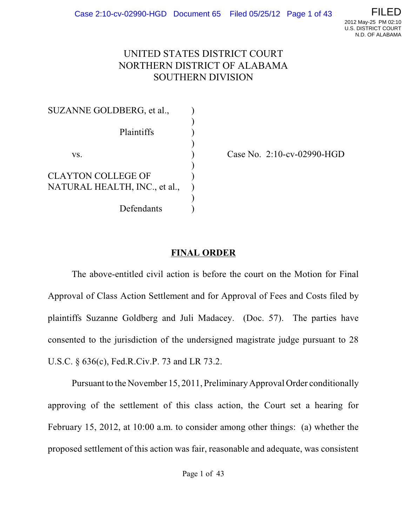

#### UNITED STATES DISTRICT COURT NORTHERN DISTRICT OF ALABAMA SOUTHERN DIVISION

| SUZANNE GOLDBERG, et al.,     |  |
|-------------------------------|--|
| Plaintiffs                    |  |
| VS.                           |  |
| <b>CLAYTON COLLEGE OF</b>     |  |
| NATURAL HEALTH, INC., et al., |  |
| Defendants                    |  |

Case No. 2:10-cv-02990-HGD

#### **FINAL ORDER**

The above-entitled civil action is before the court on the Motion for Final Approval of Class Action Settlement and for Approval of Fees and Costs filed by plaintiffs Suzanne Goldberg and Juli Madacey. (Doc. 57). The parties have consented to the jurisdiction of the undersigned magistrate judge pursuant to 28 U.S.C. § 636(c), Fed.R.Civ.P. 73 and LR 73.2.

Pursuant to the November 15, 2011, Preliminary Approval Order conditionally approving of the settlement of this class action, the Court set a hearing for February 15, 2012, at 10:00 a.m. to consider among other things: (a) whether the proposed settlement of this action was fair, reasonable and adequate, was consistent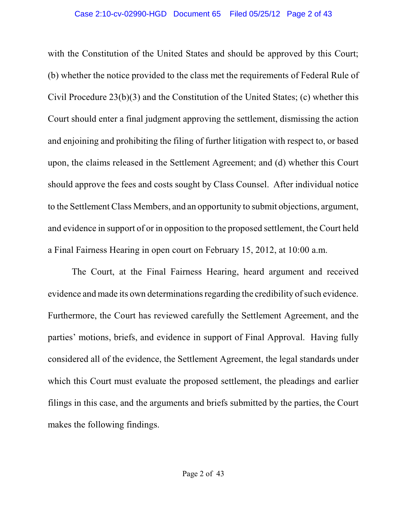with the Constitution of the United States and should be approved by this Court; (b) whether the notice provided to the class met the requirements of Federal Rule of Civil Procedure 23(b)(3) and the Constitution of the United States; (c) whether this Court should enter a final judgment approving the settlement, dismissing the action and enjoining and prohibiting the filing of further litigation with respect to, or based upon, the claims released in the Settlement Agreement; and (d) whether this Court should approve the fees and costs sought by Class Counsel. After individual notice to the Settlement Class Members, and an opportunity to submit objections, argument, and evidence in support of or in opposition to the proposed settlement, the Court held a Final Fairness Hearing in open court on February 15, 2012, at 10:00 a.m.

The Court, at the Final Fairness Hearing, heard argument and received evidence and made its own determinations regarding the credibility of such evidence. Furthermore, the Court has reviewed carefully the Settlement Agreement, and the parties' motions, briefs, and evidence in support of Final Approval. Having fully considered all of the evidence, the Settlement Agreement, the legal standards under which this Court must evaluate the proposed settlement, the pleadings and earlier filings in this case, and the arguments and briefs submitted by the parties, the Court makes the following findings.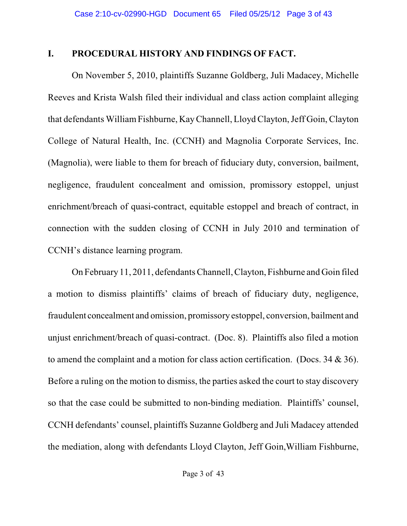#### **I. PROCEDURAL HISTORY AND FINDINGS OF FACT.**

On November 5, 2010, plaintiffs Suzanne Goldberg, Juli Madacey, Michelle Reeves and Krista Walsh filed their individual and class action complaint alleging that defendants William Fishburne, KayChannell, Lloyd Clayton, Jeff Goin, Clayton College of Natural Health, Inc. (CCNH) and Magnolia Corporate Services, Inc. (Magnolia), were liable to them for breach of fiduciary duty, conversion, bailment, negligence, fraudulent concealment and omission, promissory estoppel, unjust enrichment/breach of quasi-contract, equitable estoppel and breach of contract, in connection with the sudden closing of CCNH in July 2010 and termination of CCNH's distance learning program.

On February 11, 2011, defendantsChannell, Clayton, Fishburne and Goin filed a motion to dismiss plaintiffs' claims of breach of fiduciary duty, negligence, fraudulent concealment and omission, promissory estoppel, conversion, bailment and unjust enrichment/breach of quasi-contract. (Doc. 8). Plaintiffs also filed a motion to amend the complaint and a motion for class action certification. (Docs. 34 & 36). Before a ruling on the motion to dismiss, the parties asked the court to stay discovery so that the case could be submitted to non-binding mediation. Plaintiffs' counsel, CCNH defendants' counsel, plaintiffs Suzanne Goldberg and Juli Madacey attended the mediation, along with defendants Lloyd Clayton, Jeff Goin,William Fishburne,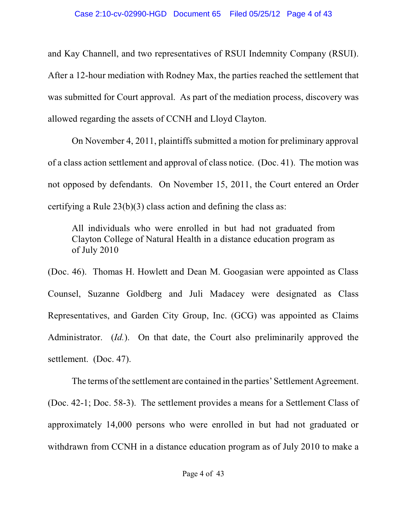and Kay Channell, and two representatives of RSUI Indemnity Company (RSUI). After a 12-hour mediation with Rodney Max, the parties reached the settlement that was submitted for Court approval. As part of the mediation process, discovery was allowed regarding the assets of CCNH and Lloyd Clayton.

On November 4, 2011, plaintiffs submitted a motion for preliminary approval of a class action settlement and approval of class notice. (Doc. 41). The motion was not opposed by defendants. On November 15, 2011, the Court entered an Order certifying a Rule 23(b)(3) class action and defining the class as:

All individuals who were enrolled in but had not graduated from Clayton College of Natural Health in a distance education program as of July 2010

(Doc. 46). Thomas H. Howlett and Dean M. Googasian were appointed as Class Counsel, Suzanne Goldberg and Juli Madacey were designated as Class Representatives, and Garden City Group, Inc. (GCG) was appointed as Claims Administrator. (*Id.*). On that date, the Court also preliminarily approved the settlement. (Doc. 47).

The terms of the settlement are contained in the parties' Settlement Agreement. (Doc. 42-1; Doc. 58-3). The settlement provides a means for a Settlement Class of approximately 14,000 persons who were enrolled in but had not graduated or withdrawn from CCNH in a distance education program as of July 2010 to make a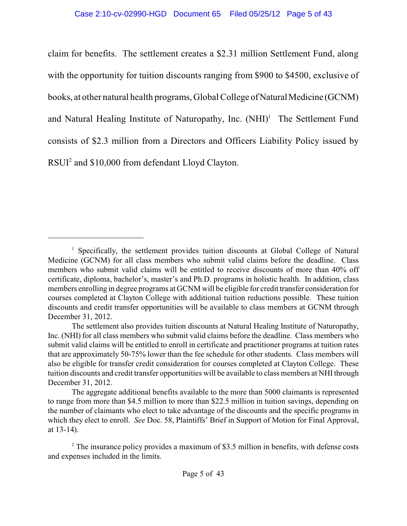claim for benefits. The settlement creates a \$2.31 million Settlement Fund, along with the opportunity for tuition discounts ranging from \$900 to \$4500, exclusive of books, at other natural health programs, Global College of Natural Medicine (GCNM) and Natural Healing Institute of Naturopathy, Inc.  $(NHI)^1$  The Settlement Fund consists of \$2.3 million from a Directors and Officers Liability Policy issued by  $RSUI<sup>2</sup>$  and \$10,000 from defendant Lloyd Clayton.

 $\frac{1}{1}$  Specifically, the settlement provides tuition discounts at Global College of Natural Medicine (GCNM) for all class members who submit valid claims before the deadline. Class members who submit valid claims will be entitled to receive discounts of more than 40% off certificate, diploma, bachelor's, master's and Ph.D. programs in holistic health. In addition, class members enrolling in degree programs at GCNM will be eligible for credit transfer consideration for courses completed at Clayton College with additional tuition reductions possible. These tuition discounts and credit transfer opportunities will be available to class members at GCNM through December 31, 2012.

The settlement also provides tuition discounts at Natural Healing Institute of Naturopathy, Inc. (NHI) for all class members who submit valid claims before the deadline. Class members who submit valid claims will be entitled to enroll in certificate and practitioner programs at tuition rates that are approximately 50-75% lower than the fee schedule for other students. Class members will also be eligible for transfer credit consideration for courses completed at Clayton College. These tuition discounts and credit transfer opportunities will be available to class members at NHIthrough December 31, 2012.

The aggregate additional benefits available to the more than 5000 claimants is represented to range from more than \$4.5 million to more than \$22.5 million in tuition savings, depending on the number of claimants who elect to take advantage of the discounts and the specific programs in which they elect to enroll. *See* Doc. 58, Plaintiffs' Brief in Support of Motion for Final Approval, at 13-14).

 $2^{\circ}$  The insurance policy provides a maximum of \$3.5 million in benefits, with defense costs and expenses included in the limits.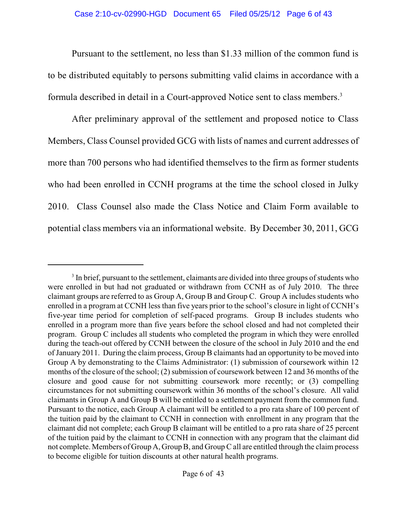Pursuant to the settlement, no less than \$1.33 million of the common fund is to be distributed equitably to persons submitting valid claims in accordance with a formula described in detail in a Court-approved Notice sent to class members.<sup>3</sup>

After preliminary approval of the settlement and proposed notice to Class Members, Class Counsel provided GCG with lists of names and current addresses of more than 700 persons who had identified themselves to the firm as former students who had been enrolled in CCNH programs at the time the school closed in Julky 2010. Class Counsel also made the Class Notice and Claim Form available to potential class members via an informational website. By December 30, 2011, GCG

<sup>&</sup>lt;sup>3</sup> In brief, pursuant to the settlement, claimants are divided into three groups of students who were enrolled in but had not graduated or withdrawn from CCNH as of July 2010. The three claimant groups are referred to as Group A, Group B and Group C. Group A includes students who enrolled in a program at CCNH less than five years prior to the school's closure in light of CCNH's five-year time period for completion of self-paced programs. Group B includes students who enrolled in a program more than five years before the school closed and had not completed their program. Group C includes all students who completed the program in which they were enrolled during the teach-out offered by CCNH between the closure of the school in July 2010 and the end of January 2011. During the claim process, Group B claimants had an opportunity to be moved into Group A by demonstrating to the Claims Administrator: (1) submission of coursework within 12 months of the closure of the school; (2) submission of coursework between 12 and 36 months of the closure and good cause for not submitting coursework more recently; or (3) compelling circumstances for not submitting coursework within 36 months of the school's closure. All valid claimants in Group A and Group B will be entitled to a settlement payment from the common fund. Pursuant to the notice, each Group A claimant will be entitled to a pro rata share of 100 percent of the tuition paid by the claimant to CCNH in connection with enrollment in any program that the claimant did not complete; each Group B claimant will be entitled to a pro rata share of 25 percent of the tuition paid by the claimant to CCNH in connection with any program that the claimant did not complete. Members of Group A, Group B, and Group C all are entitled through the claim process to become eligible for tuition discounts at other natural health programs.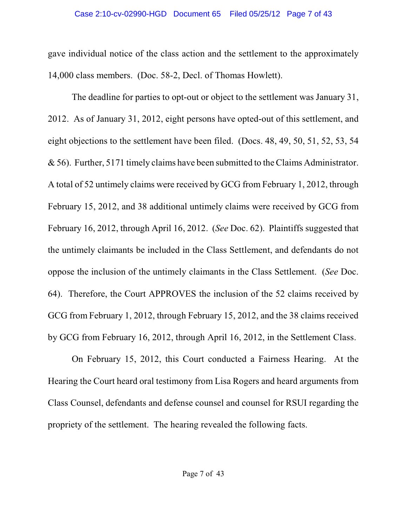gave individual notice of the class action and the settlement to the approximately 14,000 class members. (Doc. 58-2, Decl. of Thomas Howlett).

The deadline for parties to opt-out or object to the settlement was January 31, 2012. As of January 31, 2012, eight persons have opted-out of this settlement, and eight objections to the settlement have been filed. (Docs. 48, 49, 50, 51, 52, 53, 54 & 56). Further, 5171 timely claims have been submitted to the Claims Administrator. A total of 52 untimely claims were received by GCG from February 1, 2012, through February 15, 2012, and 38 additional untimely claims were received by GCG from February 16, 2012, through April 16, 2012. (*See* Doc. 62). Plaintiffs suggested that the untimely claimants be included in the Class Settlement, and defendants do not oppose the inclusion of the untimely claimants in the Class Settlement. (*See* Doc. 64). Therefore, the Court APPROVES the inclusion of the 52 claims received by GCG from February 1, 2012, through February 15, 2012, and the 38 claims received by GCG from February 16, 2012, through April 16, 2012, in the Settlement Class.

On February 15, 2012, this Court conducted a Fairness Hearing. At the Hearing the Court heard oral testimony from Lisa Rogers and heard arguments from Class Counsel, defendants and defense counsel and counsel for RSUI regarding the propriety of the settlement. The hearing revealed the following facts.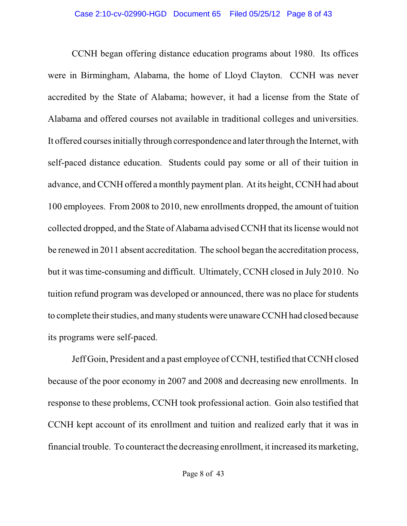CCNH began offering distance education programs about 1980. Its offices were in Birmingham, Alabama, the home of Lloyd Clayton. CCNH was never accredited by the State of Alabama; however, it had a license from the State of Alabama and offered courses not available in traditional colleges and universities. It offered courses initially through correspondence and later through the Internet, with self-paced distance education. Students could pay some or all of their tuition in advance, and CCNH offered a monthly payment plan. At its height, CCNH had about 100 employees. From 2008 to 2010, new enrollments dropped, the amount of tuition collected dropped, and the State of Alabama advised CCNH that its license would not be renewed in 2011 absent accreditation. The school began the accreditation process, but it was time-consuming and difficult. Ultimately, CCNH closed in July 2010. No tuition refund program was developed or announced, there was no place for students to complete their studies, and many students were unawareCCNH had closed because its programs were self-paced.

Jeff Goin, President and a past employee of CCNH, testified that CCNH closed because of the poor economy in 2007 and 2008 and decreasing new enrollments. In response to these problems, CCNH took professional action. Goin also testified that CCNH kept account of its enrollment and tuition and realized early that it was in financial trouble. To counteract the decreasing enrollment, it increased its marketing,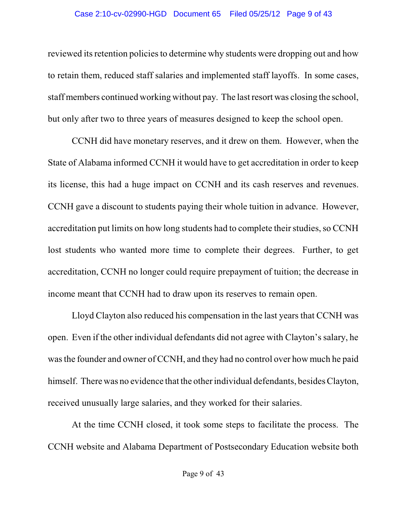#### Case 2:10-cv-02990-HGD Document 65 Filed 05/25/12 Page 9 of 43

reviewed its retention policies to determine why students were dropping out and how to retain them, reduced staff salaries and implemented staff layoffs. In some cases, staff members continued working without pay. The lastresort was closing the school, but only after two to three years of measures designed to keep the school open.

CCNH did have monetary reserves, and it drew on them. However, when the State of Alabama informed CCNH it would have to get accreditation in order to keep its license, this had a huge impact on CCNH and its cash reserves and revenues. CCNH gave a discount to students paying their whole tuition in advance. However, accreditation put limits on how long students had to complete their studies, so CCNH lost students who wanted more time to complete their degrees. Further, to get accreditation, CCNH no longer could require prepayment of tuition; the decrease in income meant that CCNH had to draw upon its reserves to remain open.

Lloyd Clayton also reduced his compensation in the last years that CCNH was open. Even if the other individual defendants did not agree with Clayton's salary, he wasthe founder and owner of CCNH, and they had no control over how much he paid himself. There was no evidence that the other individual defendants, besides Clayton, received unusually large salaries, and they worked for their salaries.

At the time CCNH closed, it took some steps to facilitate the process. The CCNH website and Alabama Department of Postsecondary Education website both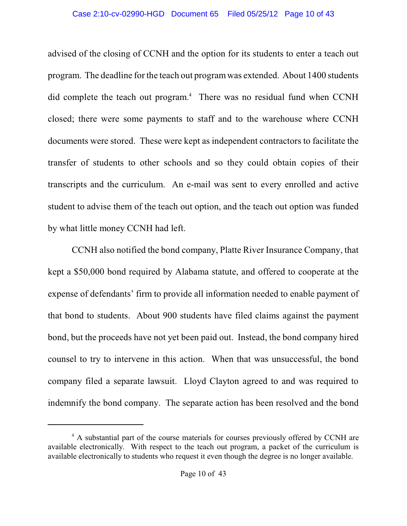advised of the closing of CCNH and the option for its students to enter a teach out program. The deadline for the teach out programwas extended. About 1400 students did complete the teach out program.<sup>4</sup> There was no residual fund when CCNH closed; there were some payments to staff and to the warehouse where CCNH documents were stored. These were kept as independent contractors to facilitate the transfer of students to other schools and so they could obtain copies of their transcripts and the curriculum. An e-mail was sent to every enrolled and active student to advise them of the teach out option, and the teach out option was funded by what little money CCNH had left.

CCNH also notified the bond company, Platte River Insurance Company, that kept a \$50,000 bond required by Alabama statute, and offered to cooperate at the expense of defendants' firm to provide all information needed to enable payment of that bond to students. About 900 students have filed claims against the payment bond, but the proceeds have not yet been paid out. Instead, the bond company hired counsel to try to intervene in this action. When that was unsuccessful, the bond company filed a separate lawsuit. Lloyd Clayton agreed to and was required to indemnify the bond company. The separate action has been resolved and the bond

<sup>&</sup>lt;sup>4</sup> A substantial part of the course materials for courses previously offered by CCNH are available electronically. With respect to the teach out program, a packet of the curriculum is available electronically to students who request it even though the degree is no longer available.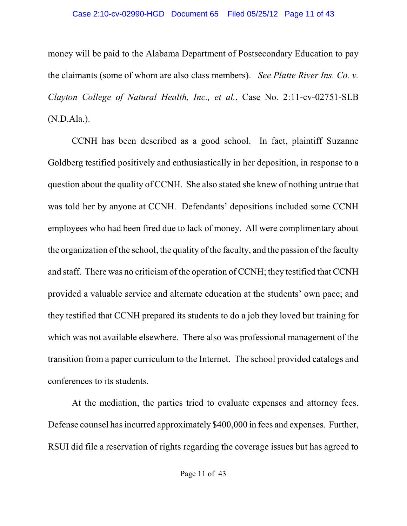#### Case 2:10-cv-02990-HGD Document 65 Filed 05/25/12 Page 11 of 43

money will be paid to the Alabama Department of Postsecondary Education to pay the claimants (some of whom are also class members). *See Platte River Ins. Co. v. Clayton College of Natural Health, Inc., et al.*, Case No. 2:11-cv-02751-SLB (N.D.Ala.).

CCNH has been described as a good school. In fact, plaintiff Suzanne Goldberg testified positively and enthusiastically in her deposition, in response to a question about the quality of CCNH. She also stated she knew of nothing untrue that was told her by anyone at CCNH. Defendants' depositions included some CCNH employees who had been fired due to lack of money. All were complimentary about the organization of the school, the quality of the faculty, and the passion of the faculty and staff. There was no criticismof the operation of CCNH; they testified that CCNH provided a valuable service and alternate education at the students' own pace; and they testified that CCNH prepared its students to do a job they loved but training for which was not available elsewhere. There also was professional management of the transition from a paper curriculum to the Internet. The school provided catalogs and conferences to its students.

At the mediation, the parties tried to evaluate expenses and attorney fees. Defense counsel has incurred approximately \$400,000 in fees and expenses. Further, RSUI did file a reservation of rights regarding the coverage issues but has agreed to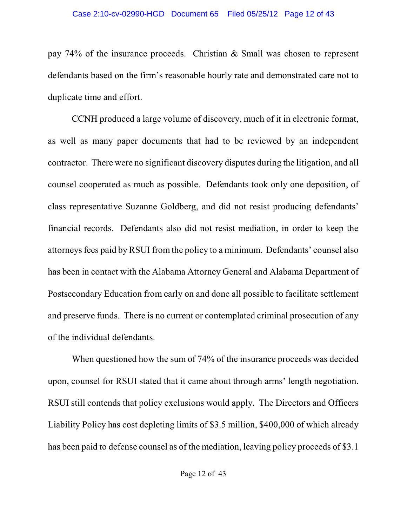pay 74% of the insurance proceeds. Christian & Small was chosen to represent defendants based on the firm's reasonable hourly rate and demonstrated care not to duplicate time and effort.

CCNH produced a large volume of discovery, much of it in electronic format, as well as many paper documents that had to be reviewed by an independent contractor. There were no significant discovery disputes during the litigation, and all counsel cooperated as much as possible. Defendants took only one deposition, of class representative Suzanne Goldberg, and did not resist producing defendants' financial records. Defendants also did not resist mediation, in order to keep the attorneys fees paid by RSUI from the policy to a minimum. Defendants' counsel also has been in contact with the Alabama Attorney General and Alabama Department of Postsecondary Education from early on and done all possible to facilitate settlement and preserve funds. There is no current or contemplated criminal prosecution of any of the individual defendants.

When questioned how the sum of 74% of the insurance proceeds was decided upon, counsel for RSUI stated that it came about through arms' length negotiation. RSUI still contends that policy exclusions would apply. The Directors and Officers Liability Policy has cost depleting limits of \$3.5 million, \$400,000 of which already has been paid to defense counsel as of the mediation, leaving policy proceeds of \$3.1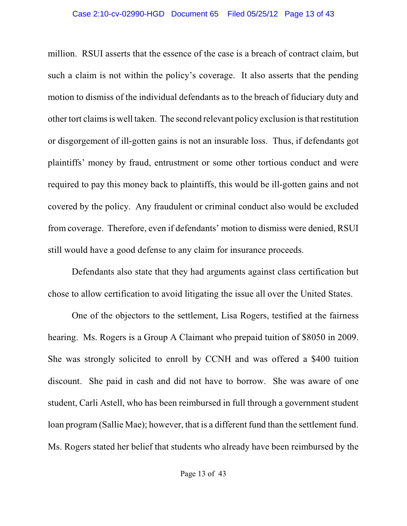million. RSUI asserts that the essence of the case is a breach of contract claim, but such a claim is not within the policy's coverage. It also asserts that the pending motion to dismiss of the individual defendants as to the breach of fiduciary duty and other tort claims is well taken. The second relevant policy exclusion isthat restitution or disgorgement of ill-gotten gains is not an insurable loss. Thus, if defendants got plaintiffs' money by fraud, entrustment or some other tortious conduct and were required to pay this money back to plaintiffs, this would be ill-gotten gains and not covered by the policy. Any fraudulent or criminal conduct also would be excluded from coverage. Therefore, even if defendants' motion to dismiss were denied, RSUI still would have a good defense to any claim for insurance proceeds.

Defendants also state that they had arguments against class certification but chose to allow certification to avoid litigating the issue all over the United States.

One of the objectors to the settlement, Lisa Rogers, testified at the fairness hearing. Ms. Rogers is a Group A Claimant who prepaid tuition of \$8050 in 2009. She was strongly solicited to enroll by CCNH and was offered a \$400 tuition discount. She paid in cash and did not have to borrow. She was aware of one student, Carli Astell, who has been reimbursed in full through a government student loan program (Sallie Mae); however, that is a different fund than the settlement fund. Ms. Rogers stated her belief that students who already have been reimbursed by the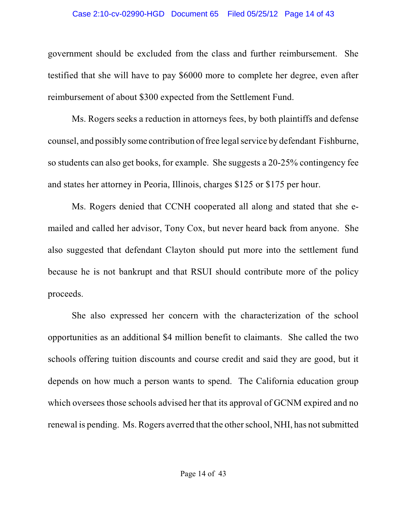#### Case 2:10-cv-02990-HGD Document 65 Filed 05/25/12 Page 14 of 43

government should be excluded from the class and further reimbursement. She testified that she will have to pay \$6000 more to complete her degree, even after reimbursement of about \$300 expected from the Settlement Fund.

Ms. Rogers seeks a reduction in attorneys fees, by both plaintiffs and defense counsel, and possibly some contribution of free legal service by defendant Fishburne, so students can also get books, for example. She suggests a 20-25% contingency fee and states her attorney in Peoria, Illinois, charges \$125 or \$175 per hour.

Ms. Rogers denied that CCNH cooperated all along and stated that she emailed and called her advisor, Tony Cox, but never heard back from anyone. She also suggested that defendant Clayton should put more into the settlement fund because he is not bankrupt and that RSUI should contribute more of the policy proceeds.

She also expressed her concern with the characterization of the school opportunities as an additional \$4 million benefit to claimants. She called the two schools offering tuition discounts and course credit and said they are good, but it depends on how much a person wants to spend. The California education group which oversees those schools advised her that its approval of GCNM expired and no renewal is pending. Ms. Rogers averred that the other school, NHI, has not submitted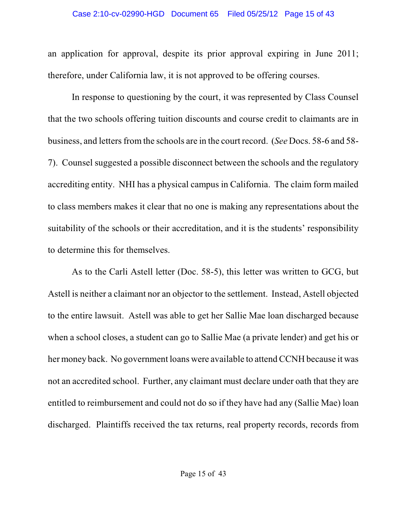#### Case 2:10-cv-02990-HGD Document 65 Filed 05/25/12 Page 15 of 43

an application for approval, despite its prior approval expiring in June 2011; therefore, under California law, it is not approved to be offering courses.

In response to questioning by the court, it was represented by Class Counsel that the two schools offering tuition discounts and course credit to claimants are in business, and letters from the schools are in the court record. (*See* Docs. 58-6 and 58-7). Counsel suggested a possible disconnect between the schools and the regulatory accrediting entity. NHI has a physical campus in California. The claim form mailed to class members makes it clear that no one is making any representations about the suitability of the schools or their accreditation, and it is the students' responsibility to determine this for themselves.

As to the Carli Astell letter (Doc. 58-5), this letter was written to GCG, but Astell is neither a claimant nor an objector to the settlement. Instead, Astell objected to the entire lawsuit. Astell was able to get her Sallie Mae loan discharged because when a school closes, a student can go to Sallie Mae (a private lender) and get his or her money back. No government loans were available to attend CCNH because it was not an accredited school. Further, any claimant must declare under oath that they are entitled to reimbursement and could not do so if they have had any (Sallie Mae) loan discharged. Plaintiffs received the tax returns, real property records, records from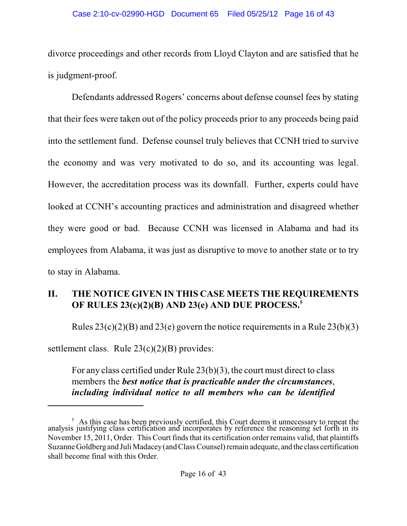#### Case 2:10-cv-02990-HGD Document 65 Filed 05/25/12 Page 16 of 43

divorce proceedings and other records from Lloyd Clayton and are satisfied that he is judgment-proof.

Defendants addressed Rogers' concerns about defense counsel fees by stating that their fees were taken out of the policy proceeds prior to any proceeds being paid into the settlement fund. Defense counsel truly believes that CCNH tried to survive the economy and was very motivated to do so, and its accounting was legal. However, the accreditation process was its downfall. Further, experts could have looked at CCNH's accounting practices and administration and disagreed whether they were good or bad. Because CCNH was licensed in Alabama and had its employees from Alabama, it was just as disruptive to move to another state or to try to stay in Alabama.

# **II. THE NOTICE GIVEN IN THIS CASE MEETS THE REQUIREMENTS OF RULES 23(c)(2)(B) AND 23(e) AND DUE PROCESS.<sup>5</sup>**

Rules  $23(c)(2)(B)$  and  $23(e)$  govern the notice requirements in a Rule  $23(b)(3)$ 

settlement class. Rule  $23(c)(2)(B)$  provides:

For any class certified under Rule 23(b)(3), the court must direct to class members the *best notice that is practicable under the circumstances*, *including individual notice to all members who can be identified*

 $<sup>5</sup>$ . As this case has been previously certified, this Court deems it unnecessary to repeat the</sup> analysis justifying class certification and incorporates by reference the reasoning set forth in its November 15, 2011, Order. This Court finds that its certification order remains valid, that plaintiffs Suzanne Goldberg and Juli Madacey(and Class Counsel) remain adequate, and the class certification shall become final with this Order.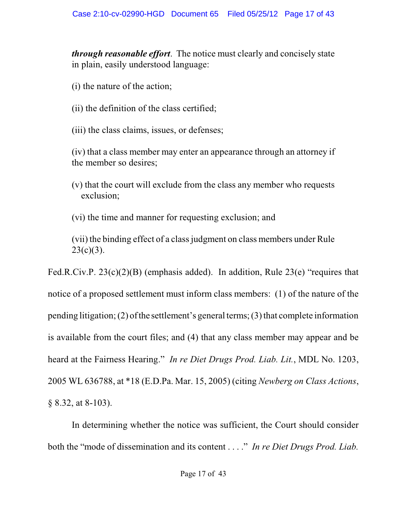*through reasonable effort*. The notice must clearly and concisely state in plain, easily understood language:

(i) the nature of the action;

(ii) the definition of the class certified;

(iii) the class claims, issues, or defenses;

(iv) that a class member may enter an appearance through an attorney if the member so desires;

(v) that the court will exclude from the class any member who requests exclusion;

(vi) the time and manner for requesting exclusion; and

(vii) the binding effect of a class judgment on class members under Rule  $23(c)(3)$ .

Fed.R.Civ.P. 23(c)(2)(B) (emphasis added). In addition, Rule 23(e) "requires that notice of a proposed settlement must inform class members: (1) of the nature of the pending litigation; (2) of the settlement's general terms; (3) that complete information is available from the court files; and (4) that any class member may appear and be heard at the Fairness Hearing." *In re Diet Drugs Prod. Liab. Lit.*, MDL No. 1203, 2005 WL 636788, at \*18 (E.D.Pa. Mar. 15, 2005) (citing *Newberg on Class Actions*, § 8.32, at 8-103).

In determining whether the notice was sufficient, the Court should consider both the "mode of dissemination and its content . . . ." *In re Diet Drugs Prod. Liab.*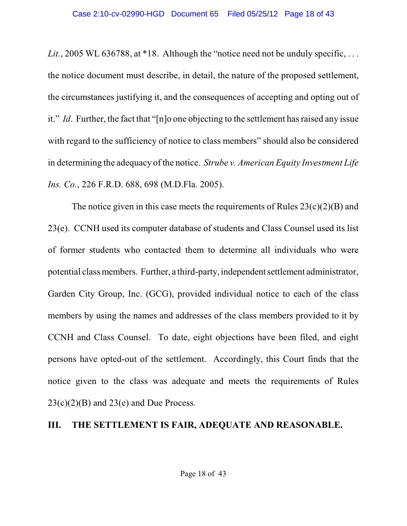*Lit.*, 2005 WL 636788, at \*18. Although the "notice need not be unduly specific, ... the notice document must describe, in detail, the nature of the proposed settlement, the circumstances justifying it, and the consequences of accepting and opting out of it." *Id*. Further, the fact that "[n]o one objecting to the settlement has raised any issue with regard to the sufficiency of notice to class members" should also be considered in determining the adequacy of the notice. *Strube v. American Equity Investment Life Ins. Co.*, 226 F.R.D. 688, 698 (M.D.Fla. 2005).

The notice given in this case meets the requirements of Rules  $23(c)(2)(B)$  and 23(e). CCNH used its computer database of students and Class Counsel used its list of former students who contacted them to determine all individuals who were potential class members. Further, a third-party, independent settlement administrator, Garden City Group, Inc. (GCG), provided individual notice to each of the class members by using the names and addresses of the class members provided to it by CCNH and Class Counsel. To date, eight objections have been filed, and eight persons have opted-out of the settlement. Accordingly, this Court finds that the notice given to the class was adequate and meets the requirements of Rules  $23(c)(2)(B)$  and  $23(e)$  and Due Process.

#### **III. THE SETTLEMENT IS FAIR, ADEQUATE AND REASONABLE.**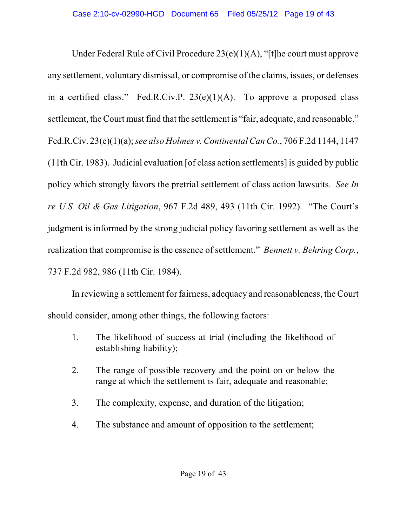Under Federal Rule of Civil Procedure 23(e)(1)(A), "[t]he court must approve any settlement, voluntary dismissal, or compromise of the claims, issues, or defenses in a certified class." Fed.R.Civ.P.  $23(e)(1)(A)$ . To approve a proposed class settlement, the Court must find that the settlement is "fair, adequate, and reasonable." Fed.R.Civ. 23(e)(1)(a);*see also Holmes v. Continental Can Co.*, 706 F.2d 1144, 1147 (11th Cir. 1983). Judicial evaluation [of class action settlements] is guided by public policy which strongly favors the pretrial settlement of class action lawsuits. *See In re U.S. Oil & Gas Litigation*, 967 F.2d 489, 493 (11th Cir. 1992). "The Court's judgment is informed by the strong judicial policy favoring settlement as well as the realization that compromise is the essence of settlement." *Bennett v. Behring Corp.*, 737 F.2d 982, 986 (11th Cir. 1984).

In reviewing a settlement for fairness, adequacy and reasonableness, the Court should consider, among other things, the following factors:

- 1. The likelihood of success at trial (including the likelihood of establishing liability);
- 2. The range of possible recovery and the point on or below the range at which the settlement is fair, adequate and reasonable;
- 3. The complexity, expense, and duration of the litigation;
- 4. The substance and amount of opposition to the settlement;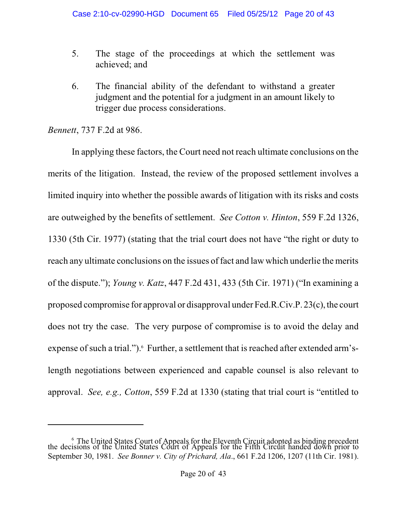- 5. The stage of the proceedings at which the settlement was achieved; and
- 6. The financial ability of the defendant to withstand a greater judgment and the potential for a judgment in an amount likely to trigger due process considerations.

*Bennett*, 737 F.2d at 986.

In applying these factors, the Court need not reach ultimate conclusions on the merits of the litigation. Instead, the review of the proposed settlement involves a limited inquiry into whether the possible awards of litigation with its risks and costs are outweighed by the benefits of settlement. *See Cotton v. Hinton*, 559 F.2d 1326, 1330 (5th Cir. 1977) (stating that the trial court does not have "the right or duty to reach any ultimate conclusions on the issues of fact and law which underlie the merits of the dispute."); *Young v. Katz*, 447 F.2d 431, 433 (5th Cir. 1971) ("In examining a proposed compromise for approval or disapproval under Fed.R.Civ.P.  $23(c)$ , the court does not try the case. The very purpose of compromise is to avoid the delay and expense of such a trial."). Further, a settlement that is reached after extended arm'slength negotiations between experienced and capable counsel is also relevant to approval. *See, e.g., Cotton*, 559 F.2d at 1330 (stating that trial court is "entitled to

 $\frac{6}{5}$  The United States Court of Appeals for the Eleventh Circuit adopted as binding precedent the decisions of the United States Court of Appeals for the Fifth Circuit handed down prior to September 30, 1981. *See Bonner v. City of Prichard, Ala*., 661 F.2d 1206, 1207 (11th Cir. 1981).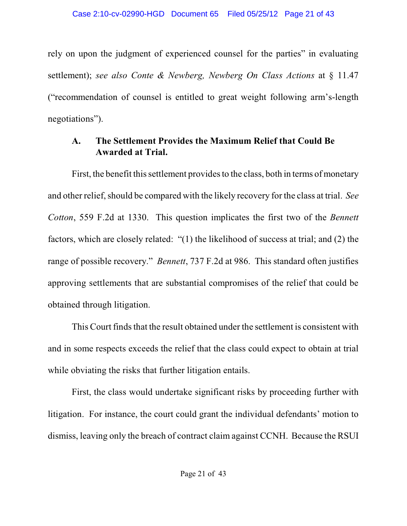rely on upon the judgment of experienced counsel for the parties" in evaluating settlement); *see also Conte & Newberg, Newberg On Class Actions* at § 11.47 ("recommendation of counsel is entitled to great weight following arm's-length negotiations").

# **A. The Settlement Provides the Maximum Relief that Could Be Awarded at Trial.**

First, the benefit this settlement provides to the class, both in terms of monetary and other relief, should be compared with the likely recovery for the class at trial. *See Cotton*, 559 F.2d at 1330. This question implicates the first two of the *Bennett* factors, which are closely related: "(1) the likelihood of success at trial; and (2) the range of possible recovery." *Bennett*, 737 F.2d at 986. This standard often justifies approving settlements that are substantial compromises of the relief that could be obtained through litigation.

This Court finds that the result obtained under the settlement is consistent with and in some respects exceeds the relief that the class could expect to obtain at trial while obviating the risks that further litigation entails.

First, the class would undertake significant risks by proceeding further with litigation. For instance, the court could grant the individual defendants' motion to dismiss, leaving only the breach of contract claim against CCNH. Because the RSUI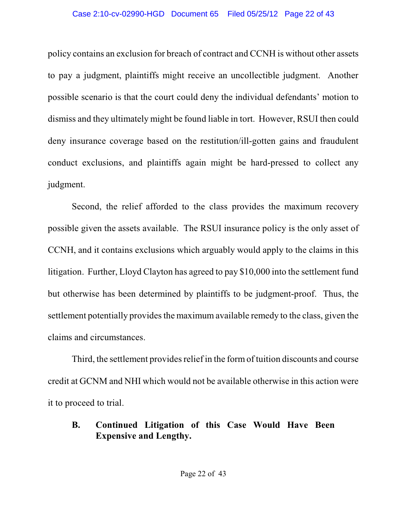#### Case 2:10-cv-02990-HGD Document 65 Filed 05/25/12 Page 22 of 43

policy contains an exclusion for breach of contract and CCNH is without other assets to pay a judgment, plaintiffs might receive an uncollectible judgment. Another possible scenario is that the court could deny the individual defendants' motion to dismiss and they ultimately might be found liable in tort. However, RSUI then could deny insurance coverage based on the restitution/ill-gotten gains and fraudulent conduct exclusions, and plaintiffs again might be hard-pressed to collect any judgment.

Second, the relief afforded to the class provides the maximum recovery possible given the assets available. The RSUI insurance policy is the only asset of CCNH, and it contains exclusions which arguably would apply to the claims in this litigation. Further, Lloyd Clayton has agreed to pay \$10,000 into the settlement fund but otherwise has been determined by plaintiffs to be judgment-proof. Thus, the settlement potentially provides the maximum available remedy to the class, given the claims and circumstances.

Third, the settlement provides relief in the form of tuition discounts and course credit at GCNM and NHI which would not be available otherwise in this action were it to proceed to trial.

# **B. Continued Litigation of this Case Would Have Been Expensive and Lengthy.**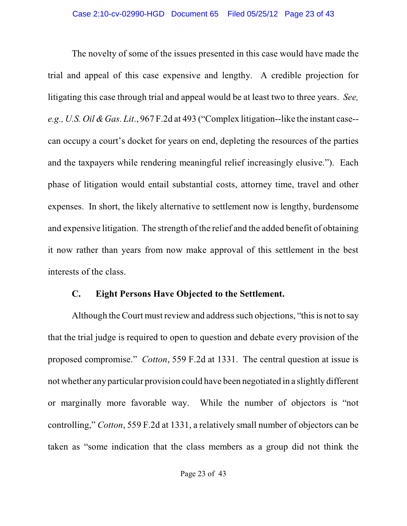The novelty of some of the issues presented in this case would have made the trial and appeal of this case expensive and lengthy. A credible projection for litigating this case through trial and appeal would be at least two to three years. *See, e.g., U.S. Oil &Gas. Lit*., 967 F.2d at 493 ("Complex litigation--like the instant case- can occupy a court's docket for years on end, depleting the resources of the parties and the taxpayers while rendering meaningful relief increasingly elusive."). Each phase of litigation would entail substantial costs, attorney time, travel and other expenses. In short, the likely alternative to settlement now is lengthy, burdensome and expensive litigation. The strength of the relief and the added benefit of obtaining it now rather than years from now make approval of this settlement in the best interests of the class.

#### **C. Eight Persons Have Objected to the Settlement.**

Although the Court must review and address such objections, "this is not to say that the trial judge is required to open to question and debate every provision of the proposed compromise." *Cotton*, 559 F.2d at 1331. The central question at issue is not whether any particular provision could have been negotiated in a slightly different or marginally more favorable way. While the number of objectors is "not controlling," *Cotton*, 559 F.2d at 1331, a relatively small number of objectors can be taken as "some indication that the class members as a group did not think the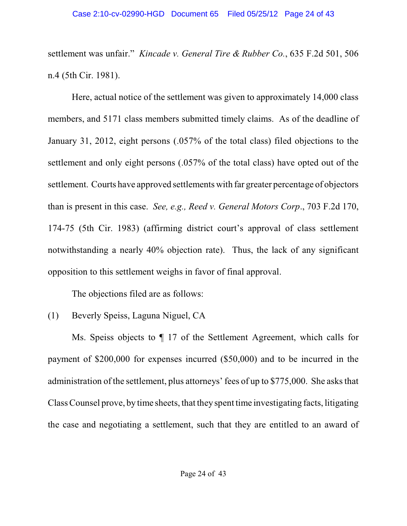settlement was unfair." *Kincade v. General Tire & Rubber Co.*, 635 F.2d 501, 506 n.4 (5th Cir. 1981).

Here, actual notice of the settlement was given to approximately 14,000 class members, and 5171 class members submitted timely claims. As of the deadline of January 31, 2012, eight persons (.057% of the total class) filed objections to the settlement and only eight persons (.057% of the total class) have opted out of the settlement. Courts have approved settlements with far greater percentage of objectors than is present in this case. *See, e.g., Reed v. General Motors Corp*., 703 F.2d 170, 174-75 (5th Cir. 1983) (affirming district court's approval of class settlement notwithstanding a nearly 40% objection rate). Thus, the lack of any significant opposition to this settlement weighs in favor of final approval.

The objections filed are as follows:

(1) Beverly Speiss, Laguna Niguel, CA

Ms. Speiss objects to ¶ 17 of the Settlement Agreement, which calls for payment of \$200,000 for expenses incurred (\$50,000) and to be incurred in the administration of the settlement, plus attorneys' fees of up to \$775,000. She asks that Class Counsel prove, by time sheets, that they spent time investigating facts, litigating the case and negotiating a settlement, such that they are entitled to an award of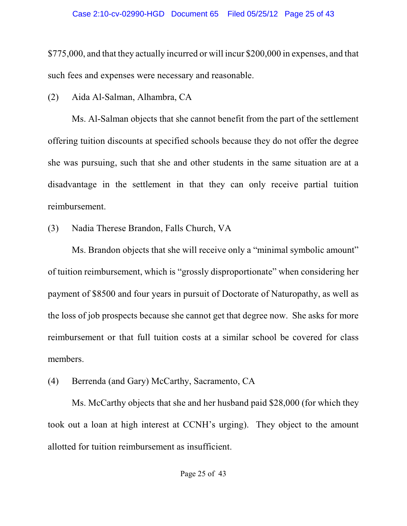\$775,000, and that they actually incurred or will incur \$200,000 in expenses, and that such fees and expenses were necessary and reasonable.

(2) Aida Al-Salman, Alhambra, CA

Ms. Al-Salman objects that she cannot benefit from the part of the settlement offering tuition discounts at specified schools because they do not offer the degree she was pursuing, such that she and other students in the same situation are at a disadvantage in the settlement in that they can only receive partial tuition reimbursement.

(3) Nadia Therese Brandon, Falls Church, VA

Ms. Brandon objects that she will receive only a "minimal symbolic amount" of tuition reimbursement, which is "grossly disproportionate" when considering her payment of \$8500 and four years in pursuit of Doctorate of Naturopathy, as well as the loss of job prospects because she cannot get that degree now. She asks for more reimbursement or that full tuition costs at a similar school be covered for class members.

(4) Berrenda (and Gary) McCarthy, Sacramento, CA

Ms. McCarthy objects that she and her husband paid \$28,000 (for which they took out a loan at high interest at CCNH's urging). They object to the amount allotted for tuition reimbursement as insufficient.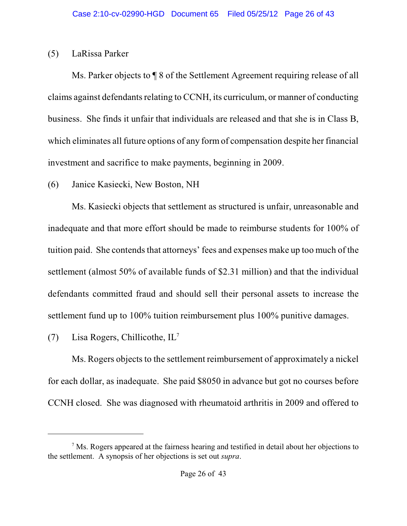#### (5) LaRissa Parker

Ms. Parker objects to ¶ 8 of the Settlement Agreement requiring release of all claims against defendants relating to CCNH, its curriculum, or manner of conducting business. She finds it unfair that individuals are released and that she is in Class B, which eliminates all future options of any formof compensation despite her financial investment and sacrifice to make payments, beginning in 2009.

(6) Janice Kasiecki, New Boston, NH

Ms. Kasiecki objects that settlement as structured is unfair, unreasonable and inadequate and that more effort should be made to reimburse students for 100% of tuition paid. She contends that attorneys' fees and expenses make up too much of the settlement (almost 50% of available funds of \$2.31 million) and that the individual defendants committed fraud and should sell their personal assets to increase the settlement fund up to 100% tuition reimbursement plus 100% punitive damages.

(7) Lisa Rogers, Chillicothe, IL<sup>7</sup>

Ms. Rogers objects to the settlement reimbursement of approximately a nickel for each dollar, as inadequate. She paid \$8050 in advance but got no courses before CCNH closed. She was diagnosed with rheumatoid arthritis in 2009 and offered to

 $\alpha$ <sup>7</sup> Ms. Rogers appeared at the fairness hearing and testified in detail about her objections to the settlement. A synopsis of her objections is set out *supra*.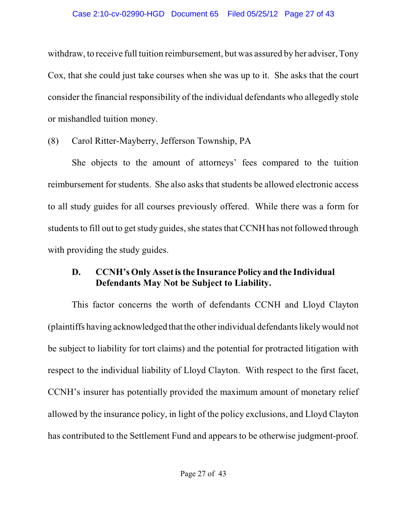withdraw, to receive full tuition reimbursement, but was assured by her adviser, Tony Cox, that she could just take courses when she was up to it. She asks that the court consider the financial responsibility of the individual defendants who allegedly stole or mishandled tuition money.

(8) Carol Ritter-Mayberry, Jefferson Township, PA

She objects to the amount of attorneys' fees compared to the tuition reimbursement for students. She also asks that students be allowed electronic access to all study guides for all courses previously offered. While there was a form for students to fill out to get study guides, she states that CCNH has not followed through with providing the study guides.

# **D. CCNH'sOnly Asset isthe InsurancePolicy and the Individual Defendants May Not be Subject to Liability.**

This factor concerns the worth of defendants CCNH and Lloyd Clayton (plaintiffs having acknowledged that the other individual defendants likely would not be subject to liability for tort claims) and the potential for protracted litigation with respect to the individual liability of Lloyd Clayton. With respect to the first facet, CCNH's insurer has potentially provided the maximum amount of monetary relief allowed by the insurance policy, in light of the policy exclusions, and Lloyd Clayton has contributed to the Settlement Fund and appears to be otherwise judgment-proof.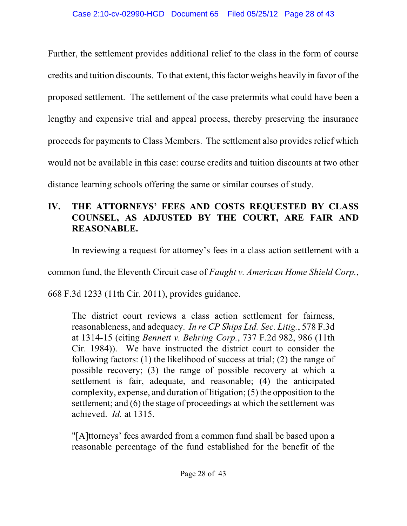Further, the settlement provides additional relief to the class in the form of course credits and tuition discounts. To that extent, thisfactor weighs heavily in favor of the proposed settlement. The settlement of the case pretermits what could have been a lengthy and expensive trial and appeal process, thereby preserving the insurance proceeds for payments to Class Members. The settlement also provides relief which would not be available in this case: course credits and tuition discounts at two other distance learning schools offering the same or similar courses of study.

# **IV. THE ATTORNEYS' FEES AND COSTS REQUESTED BY CLASS COUNSEL, AS ADJUSTED BY THE COURT, ARE FAIR AND REASONABLE.**

In reviewing a request for attorney's fees in a class action settlement with a

common fund, the Eleventh Circuit case of *Faught v. American Home Shield Corp.*,

668 F.3d 1233 (11th Cir. 2011), provides guidance.

The district court reviews a class action settlement for fairness, reasonableness, and adequacy. *In re CP Ships Ltd. Sec. Litig.*, 578 F.3d at 1314-15 (citing *Bennett v. Behring Corp.*, 737 F.2d 982, 986 (11th Cir. 1984)). We have instructed the district court to consider the following factors: (1) the likelihood of success at trial; (2) the range of possible recovery; (3) the range of possible recovery at which a settlement is fair, adequate, and reasonable; (4) the anticipated complexity, expense, and duration of litigation; (5) the opposition to the settlement; and (6) the stage of proceedings at which the settlement was achieved. *Id.* at 1315.

"[A]ttorneys' fees awarded from a common fund shall be based upon a reasonable percentage of the fund established for the benefit of the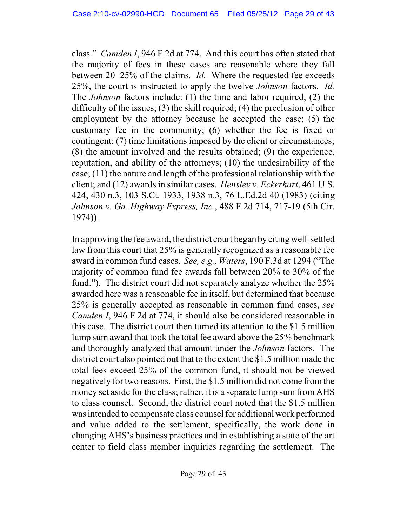class." *Camden I*, 946 F.2d at 774. And this court has often stated that the majority of fees in these cases are reasonable where they fall between 20–25% of the claims. *Id.* Where the requested fee exceeds 25%, the court is instructed to apply the twelve *Johnson* factors. *Id.* The *Johnson* factors include: (1) the time and labor required; (2) the difficulty of the issues; (3) the skill required; (4) the preclusion of other employment by the attorney because he accepted the case; (5) the customary fee in the community; (6) whether the fee is fixed or contingent; (7) time limitations imposed by the client or circumstances; (8) the amount involved and the results obtained; (9) the experience, reputation, and ability of the attorneys; (10) the undesirability of the case; (11) the nature and length of the professional relationship with the client; and (12) awards in similar cases. *Hensley v. Eckerhart*, 461 U.S. 424, 430 n.3, 103 S.Ct. 1933, 1938 n.3, 76 L.Ed.2d 40 (1983) (citing *Johnson v. Ga. Highway Express, Inc.*, 488 F.2d 714, 717-19 (5th Cir. 1974)).

In approving the fee award, the district court began by citing well-settled law from this court that 25% is generally recognized as a reasonable fee award in common fund cases. *See, e.g., Waters*, 190 F.3d at 1294 ("The majority of common fund fee awards fall between 20% to 30% of the fund."). The district court did not separately analyze whether the 25% awarded here was a reasonable fee in itself, but determined that because 25% is generally accepted as reasonable in common fund cases, *see Camden I*, 946 F.2d at 774, it should also be considered reasonable in this case. The district court then turned its attention to the \$1.5 million lump sum award that took the total fee award above the 25% benchmark and thoroughly analyzed that amount under the *Johnson* factors. The district court also pointed out that to the extent the \$1.5 million made the total fees exceed 25% of the common fund, it should not be viewed negatively for two reasons. First, the \$1.5 million did not come fromthe money set aside for the class; rather, it is a separate lump sum from AHS to class counsel. Second, the district court noted that the \$1.5 million wasintended to compensate class counsel for additional work performed and value added to the settlement, specifically, the work done in changing AHS's business practices and in establishing a state of the art center to field class member inquiries regarding the settlement. The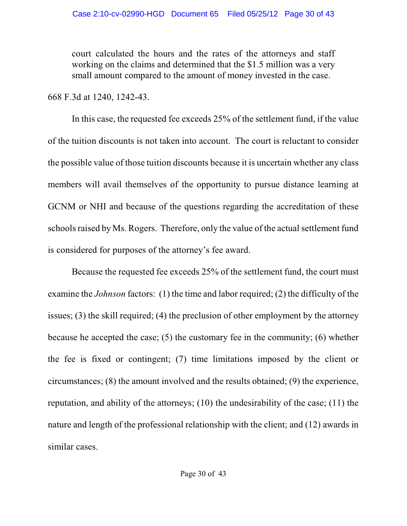court calculated the hours and the rates of the attorneys and staff working on the claims and determined that the \$1.5 million was a very small amount compared to the amount of money invested in the case.

668 F.3d at 1240, 1242-43.

In this case, the requested fee exceeds 25% of the settlement fund, if the value of the tuition discounts is not taken into account. The court is reluctant to consider the possible value of those tuition discounts because it is uncertain whether any class members will avail themselves of the opportunity to pursue distance learning at GCNM or NHI and because of the questions regarding the accreditation of these schools raised by Ms. Rogers. Therefore, only the value of the actual settlement fund is considered for purposes of the attorney's fee award.

Because the requested fee exceeds 25% of the settlement fund, the court must examine the *Johnson* factors: (1) the time and labor required; (2) the difficulty of the issues; (3) the skill required; (4) the preclusion of other employment by the attorney because he accepted the case; (5) the customary fee in the community; (6) whether the fee is fixed or contingent; (7) time limitations imposed by the client or circumstances; (8) the amount involved and the results obtained; (9) the experience, reputation, and ability of the attorneys; (10) the undesirability of the case; (11) the nature and length of the professional relationship with the client; and (12) awards in similar cases.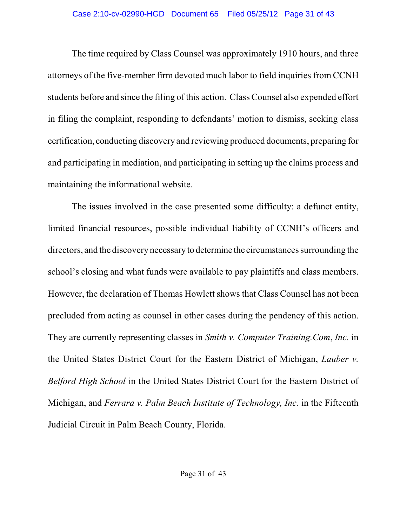The time required by Class Counsel was approximately 1910 hours, and three attorneys of the five-member firm devoted much labor to field inquiries from CCNH students before and since the filing of this action. Class Counsel also expended effort in filing the complaint, responding to defendants' motion to dismiss, seeking class certification, conducting discovery and reviewing produced documents, preparing for and participating in mediation, and participating in setting up the claims process and maintaining the informational website.

The issues involved in the case presented some difficulty: a defunct entity, limited financial resources, possible individual liability of CCNH's officers and directors, and the discovery necessary to determine the circumstances surrounding the school's closing and what funds were available to pay plaintiffs and class members. However, the declaration of Thomas Howlett shows that Class Counsel has not been precluded from acting as counsel in other cases during the pendency of this action. They are currently representing classes in *Smith v. Computer Training.Com*, *Inc.* in the United States District Court for the Eastern District of Michigan, *Lauber v. Belford High School* in the United States District Court for the Eastern District of Michigan, and *Ferrara v. Palm Beach Institute of Technology, Inc.* in the Fifteenth Judicial Circuit in Palm Beach County, Florida.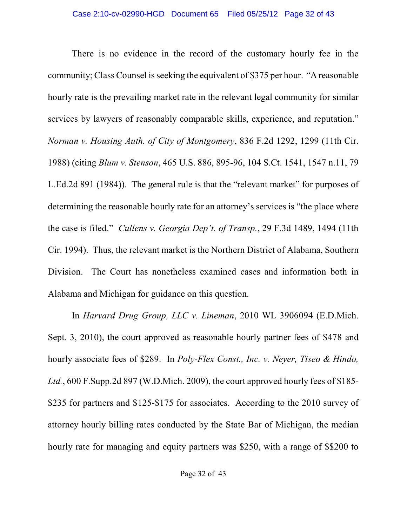There is no evidence in the record of the customary hourly fee in the community; Class Counsel is seeking the equivalent of \$375 per hour. "A reasonable hourly rate is the prevailing market rate in the relevant legal community for similar services by lawyers of reasonably comparable skills, experience, and reputation." *Norman v. Housing Auth. of City of Montgomery*, 836 F.2d 1292, 1299 (11th Cir. 1988) (citing *Blum v. Stenson*, 465 U.S. 886, 895-96, 104 S.Ct. 1541, 1547 n.11, 79 L.Ed.2d 891 (1984)). The general rule is that the "relevant market" for purposes of determining the reasonable hourly rate for an attorney's services is "the place where the case is filed." *Cullens v. Georgia Dep't. of Transp.*, 29 F.3d 1489, 1494 (11th Cir. 1994). Thus, the relevant market is the Northern District of Alabama, Southern Division. The Court has nonetheless examined cases and information both in Alabama and Michigan for guidance on this question.

In *Harvard Drug Group, LLC v. Lineman*, 2010 WL 3906094 (E.D.Mich. Sept. 3, 2010), the court approved as reasonable hourly partner fees of \$478 and hourly associate fees of \$289. In *Poly-Flex Const., Inc. v. Neyer, Tiseo & Hindo, Ltd.*, 600 F.Supp.2d 897 (W.D.Mich. 2009), the court approved hourly fees of \$185- \$235 for partners and \$125-\$175 for associates. According to the 2010 survey of attorney hourly billing rates conducted by the State Bar of Michigan, the median hourly rate for managing and equity partners was \$250, with a range of \$\$200 to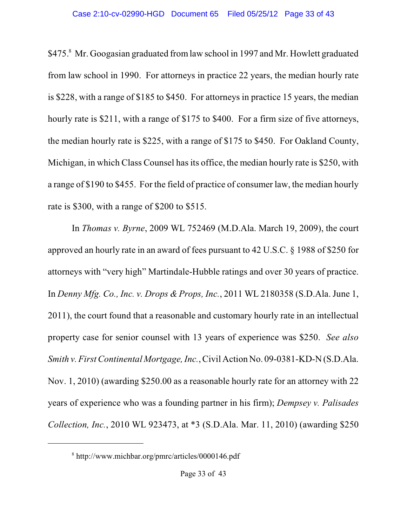\$475.8 Mr. Googasian graduated from law school in 1997 and Mr. Howlett graduated from law school in 1990. For attorneys in practice 22 years, the median hourly rate is \$228, with a range of \$185 to \$450. For attorneys in practice 15 years, the median hourly rate is \$211, with a range of \$175 to \$400. For a firm size of five attorneys, the median hourly rate is \$225, with a range of \$175 to \$450. For Oakland County, Michigan, in which Class Counsel has its office, the median hourly rate is \$250, with a range of \$190 to \$455. For the field of practice of consumer law, the median hourly rate is \$300, with a range of \$200 to \$515.

In *Thomas v. Byrne*, 2009 WL 752469 (M.D.Ala. March 19, 2009), the court approved an hourly rate in an award of fees pursuant to 42 U.S.C. § 1988 of \$250 for attorneys with "very high" Martindale-Hubble ratings and over 30 years of practice. In *Denny Mfg. Co., Inc. v. Drops & Props, Inc.*, 2011 WL 2180358 (S.D.Ala. June 1, 2011), the court found that a reasonable and customary hourly rate in an intellectual property case for senior counsel with 13 years of experience was \$250. *See also Smith v. FirstContinental Mortgage, Inc.*, Civil Action No. 09-0381-KD-N (S.D.Ala. Nov. 1, 2010) (awarding \$250.00 as a reasonable hourly rate for an attorney with 22 years of experience who was a founding partner in his firm); *Dempsey v. Palisades Collection, Inc.*, 2010 WL 923473, at \*3 (S.D.Ala. Mar. 11, 2010) (awarding \$250

http://www.michbar.org/pmrc/articles/0000146.pdf <sup>8</sup>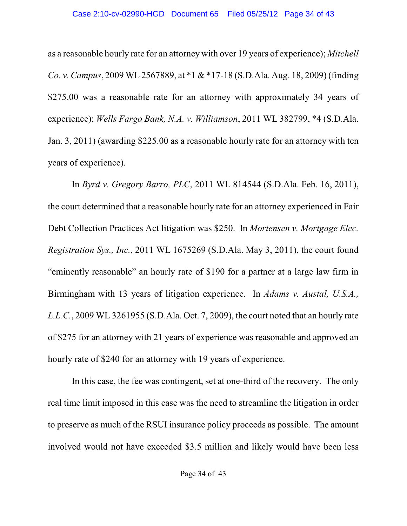as a reasonable hourly rate for an attorney with over 19 years of experience); *Mitchell Co. v. Campus*, 2009 WL 2567889, at \*1 & \*17-18 (S.D.Ala. Aug. 18, 2009) (finding \$275.00 was a reasonable rate for an attorney with approximately 34 years of experience); *Wells Fargo Bank, N.A. v. Williamson*, 2011 WL 382799, \*4 (S.D.Ala. Jan. 3, 2011) (awarding \$225.00 as a reasonable hourly rate for an attorney with ten years of experience).

In *Byrd v. Gregory Barro, PLC*, 2011 WL 814544 (S.D.Ala. Feb. 16, 2011), the court determined that a reasonable hourly rate for an attorney experienced in Fair Debt Collection Practices Act litigation was \$250. In *Mortensen v. Mortgage Elec. Registration Sys., Inc.*, 2011 WL 1675269 (S.D.Ala. May 3, 2011), the court found "eminently reasonable" an hourly rate of \$190 for a partner at a large law firm in Birmingham with 13 years of litigation experience. In *Adams v. Austal, U.S.A., L.L.C.*, 2009 WL 3261955 (S.D.Ala. Oct. 7, 2009), the court noted that an hourly rate of \$275 for an attorney with 21 years of experience was reasonable and approved an hourly rate of \$240 for an attorney with 19 years of experience.

In this case, the fee was contingent, set at one-third of the recovery. The only real time limit imposed in this case was the need to streamline the litigation in order to preserve as much of the RSUI insurance policy proceeds as possible. The amount involved would not have exceeded \$3.5 million and likely would have been less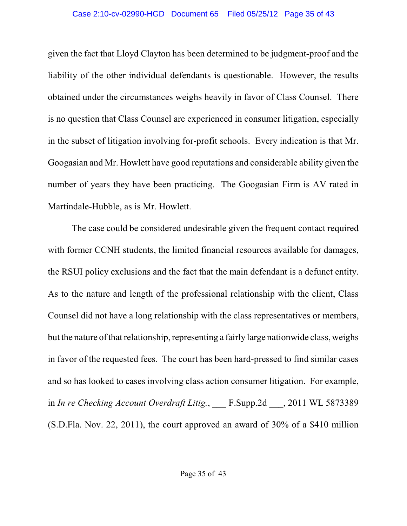given the fact that Lloyd Clayton has been determined to be judgment-proof and the liability of the other individual defendants is questionable. However, the results obtained under the circumstances weighs heavily in favor of Class Counsel. There is no question that Class Counsel are experienced in consumer litigation, especially in the subset of litigation involving for-profit schools. Every indication is that Mr. Googasian and Mr. Howlett have good reputations and considerable ability given the number of years they have been practicing. The Googasian Firm is AV rated in Martindale-Hubble, as is Mr. Howlett.

The case could be considered undesirable given the frequent contact required with former CCNH students, the limited financial resources available for damages, the RSUI policy exclusions and the fact that the main defendant is a defunct entity. As to the nature and length of the professional relationship with the client, Class Counsel did not have a long relationship with the class representatives or members, but the nature of that relationship, representing a fairly large nationwide class, weighs in favor of the requested fees. The court has been hard-pressed to find similar cases and so has looked to cases involving class action consumer litigation. For example, in *In re Checking Account Overdraft Litig.*, F.Supp.2d , 2011 WL 5873389 (S.D.Fla. Nov. 22, 2011), the court approved an award of 30% of a \$410 million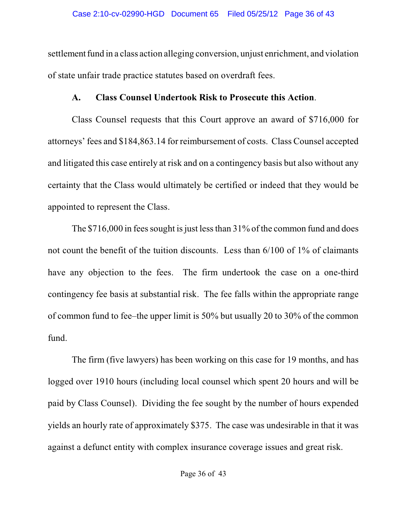settlement fund in a class action alleging conversion, unjust enrichment, and violation of state unfair trade practice statutes based on overdraft fees.

# **A. Class Counsel Undertook Risk to Prosecute this Action**.

Class Counsel requests that this Court approve an award of \$716,000 for attorneys' fees and \$184,863.14 for reimbursement of costs. Class Counsel accepted and litigated this case entirely at risk and on a contingency basis but also without any certainty that the Class would ultimately be certified or indeed that they would be appointed to represent the Class.

The  $$716,000$  in fees sought is just less than  $31\%$  of the common fund and does not count the benefit of the tuition discounts. Less than 6/100 of 1% of claimants have any objection to the fees. The firm undertook the case on a one-third contingency fee basis at substantial risk. The fee falls within the appropriate range of common fund to fee–the upper limit is 50% but usually 20 to 30% of the common fund.

The firm (five lawyers) has been working on this case for 19 months, and has logged over 1910 hours (including local counsel which spent 20 hours and will be paid by Class Counsel). Dividing the fee sought by the number of hours expended yields an hourly rate of approximately \$375. The case was undesirable in that it was against a defunct entity with complex insurance coverage issues and great risk.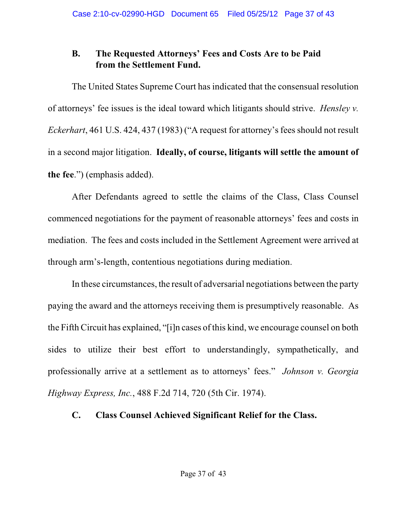# **B. The Requested Attorneys' Fees and Costs Are to be Paid from the Settlement Fund.**

The United States Supreme Court has indicated that the consensual resolution of attorneys' fee issues is the ideal toward which litigants should strive. *Hensley v. Eckerhart*, 461 U.S. 424, 437 (1983) ("A request for attorney's fees should not result in a second major litigation. **Ideally, of course, litigants will settle the amount of the fee**.") (emphasis added).

After Defendants agreed to settle the claims of the Class, Class Counsel commenced negotiations for the payment of reasonable attorneys' fees and costs in mediation. The fees and costs included in the Settlement Agreement were arrived at through arm's-length, contentious negotiations during mediation.

In these circumstances, the result of adversarial negotiations between the party paying the award and the attorneys receiving them is presumptively reasonable. As the Fifth Circuit has explained, "[i]n cases of this kind, we encourage counsel on both sides to utilize their best effort to understandingly, sympathetically, and professionally arrive at a settlement as to attorneys' fees." *Johnson v. Georgia Highway Express, Inc.*, 488 F.2d 714, 720 (5th Cir. 1974).

# **C. Class Counsel Achieved Significant Relief for the Class.**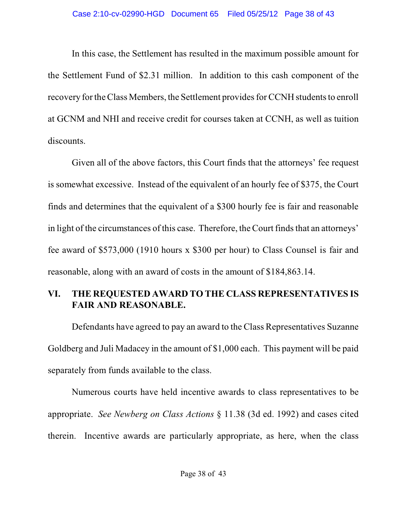In this case, the Settlement has resulted in the maximum possible amount for the Settlement Fund of \$2.31 million. In addition to this cash component of the recovery for the Class Members, the Settlement provides for CCNH students to enroll at GCNM and NHI and receive credit for courses taken at CCNH, as well as tuition discounts.

Given all of the above factors, this Court finds that the attorneys' fee request is somewhat excessive. Instead of the equivalent of an hourly fee of \$375, the Court finds and determines that the equivalent of a \$300 hourly fee is fair and reasonable in light of the circumstances of this case. Therefore, the Court finds that an attorneys' fee award of \$573,000 (1910 hours x \$300 per hour) to Class Counsel is fair and reasonable, along with an award of costs in the amount of \$184,863.14.

# **VI. THE REQUESTED AWARD TO THE CLASS REPRESENTATIVES IS FAIR AND REASONABLE.**

Defendants have agreed to pay an award to the Class Representatives Suzanne Goldberg and Juli Madacey in the amount of \$1,000 each. This payment will be paid separately from funds available to the class.

Numerous courts have held incentive awards to class representatives to be appropriate. *See Newberg on Class Actions* § 11.38 (3d ed. 1992) and cases cited therein. Incentive awards are particularly appropriate, as here, when the class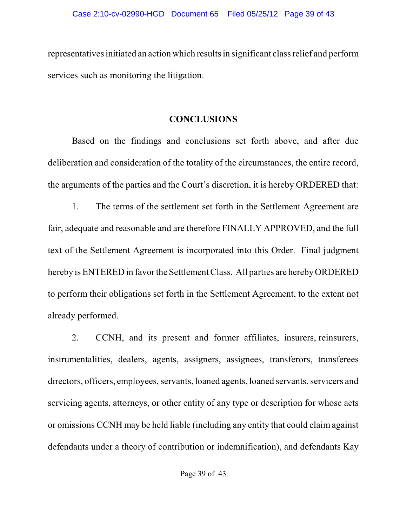representatives initiated an action which resultsin significant class relief and perform services such as monitoring the litigation.

# **CONCLUSIONS**

Based on the findings and conclusions set forth above, and after due deliberation and consideration of the totality of the circumstances, the entire record, the arguments of the parties and the Court's discretion, it is hereby ORDERED that:

1. The terms of the settlement set forth in the Settlement Agreement are fair, adequate and reasonable and are therefore FINALLY APPROVED, and the full text of the Settlement Agreement is incorporated into this Order. Final judgment hereby is ENTERED in favorthe Settlement Class. All parties are herebyORDERED to perform their obligations set forth in the Settlement Agreement, to the extent not already performed.

2. CCNH, and its present and former affiliates, insurers, reinsurers, instrumentalities, dealers, agents, assigners, assignees, transferors, transferees directors, officers, employees, servants, loaned agents, loaned servants, servicers and servicing agents, attorneys, or other entity of any type or description for whose acts or omissions CCNH may be held liable (including any entity that could claim against defendants under a theory of contribution or indemnification), and defendants Kay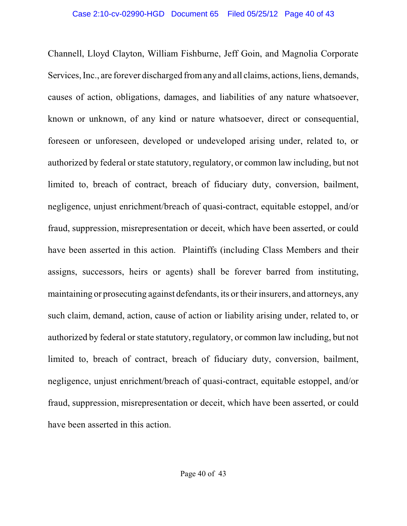Channell, Lloyd Clayton, William Fishburne, Jeff Goin, and Magnolia Corporate Services, Inc., are forever discharged fromany and all claims, actions, liens, demands, causes of action, obligations, damages, and liabilities of any nature whatsoever, known or unknown, of any kind or nature whatsoever, direct or consequential, foreseen or unforeseen, developed or undeveloped arising under, related to, or authorized by federal or state statutory, regulatory, or common law including, but not limited to, breach of contract, breach of fiduciary duty, conversion, bailment, negligence, unjust enrichment/breach of quasi-contract, equitable estoppel, and/or fraud, suppression, misrepresentation or deceit, which have been asserted, or could have been asserted in this action. Plaintiffs (including Class Members and their assigns, successors, heirs or agents) shall be forever barred from instituting, maintaining or prosecuting against defendants, its ortheir insurers, and attorneys, any such claim, demand, action, cause of action or liability arising under, related to, or authorized by federal orstate statutory, regulatory, or common law including, but not limited to, breach of contract, breach of fiduciary duty, conversion, bailment, negligence, unjust enrichment/breach of quasi-contract, equitable estoppel, and/or fraud, suppression, misrepresentation or deceit, which have been asserted, or could have been asserted in this action.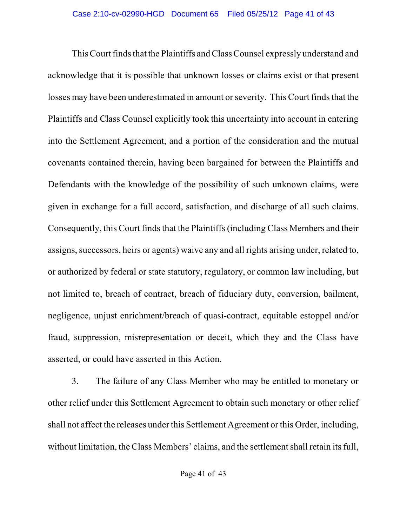This Court finds that the Plaintiffs and Class Counsel expressly understand and acknowledge that it is possible that unknown losses or claims exist or that present losses may have been underestimated in amount or severity. This Court finds that the Plaintiffs and Class Counsel explicitly took this uncertainty into account in entering into the Settlement Agreement, and a portion of the consideration and the mutual covenants contained therein, having been bargained for between the Plaintiffs and Defendants with the knowledge of the possibility of such unknown claims, were given in exchange for a full accord, satisfaction, and discharge of all such claims. Consequently, this Court finds that the Plaintiffs (including Class Members and their assigns, successors, heirs or agents) waive any and all rights arising under, related to, or authorized by federal or state statutory, regulatory, or common law including, but not limited to, breach of contract, breach of fiduciary duty, conversion, bailment, negligence, unjust enrichment/breach of quasi-contract, equitable estoppel and/or fraud, suppression, misrepresentation or deceit, which they and the Class have asserted, or could have asserted in this Action.

3. The failure of any Class Member who may be entitled to monetary or other relief under this Settlement Agreement to obtain such monetary or other relief shall not affect the releases under this Settlement Agreement or this Order, including, without limitation, the Class Members' claims, and the settlement shall retain its full,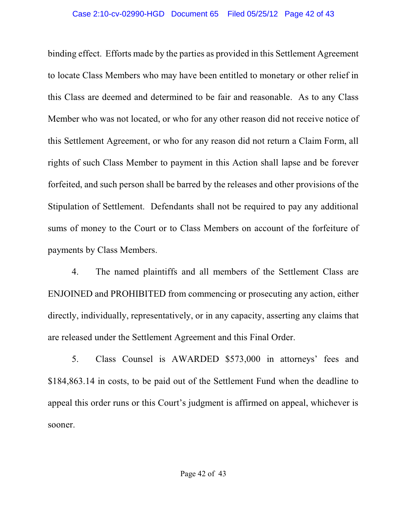#### Case 2:10-cv-02990-HGD Document 65 Filed 05/25/12 Page 42 of 43

binding effect. Efforts made by the parties as provided in this Settlement Agreement to locate Class Members who may have been entitled to monetary or other relief in this Class are deemed and determined to be fair and reasonable. As to any Class Member who was not located, or who for any other reason did not receive notice of this Settlement Agreement, or who for any reason did not return a Claim Form, all rights of such Class Member to payment in this Action shall lapse and be forever forfeited, and such person shall be barred by the releases and other provisions of the Stipulation of Settlement. Defendants shall not be required to pay any additional sums of money to the Court or to Class Members on account of the forfeiture of payments by Class Members.

4. The named plaintiffs and all members of the Settlement Class are ENJOINED and PROHIBITED from commencing or prosecuting any action, either directly, individually, representatively, or in any capacity, asserting any claims that are released under the Settlement Agreement and this Final Order.

5. Class Counsel is AWARDED \$573,000 in attorneys' fees and \$184,863.14 in costs, to be paid out of the Settlement Fund when the deadline to appeal this order runs or this Court's judgment is affirmed on appeal, whichever is sooner.